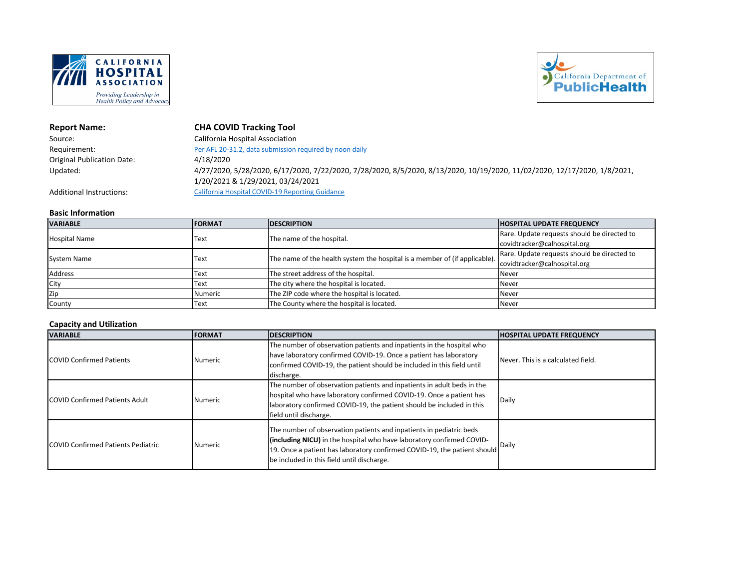



# **Report Name: CHA COVID Tracking Tool**

| Source:                           | California Hospital Association                                                                                                                                |
|-----------------------------------|----------------------------------------------------------------------------------------------------------------------------------------------------------------|
| Requirement:                      | Per AFL 20-31.2, data submission required by noon daily                                                                                                        |
| <b>Original Publication Date:</b> | 4/18/2020                                                                                                                                                      |
| Updated:                          | 4/27/2020, 5/28/2020, 6/17/2020, 7/22/2020, 7/28/2020, 8/5/2020, 8/13/2020, 10/19/2020, 11/02/2020, 12/17/2020, 1/8/2021,<br>1/20/2021 & 1/29/2021, 03/24/2021 |
| <b>Additional Instructions:</b>   | California Hospital COVID-19 Reporting Guidance                                                                                                                |

#### **Basic Information**

| <b>VARIABLE</b>      | <b>IFORMAT</b> | <b>IDESCRIPTION</b>                                                                                     | <b>HOSPITAL UPDATE FREQUENCY</b>            |
|----------------------|----------------|---------------------------------------------------------------------------------------------------------|---------------------------------------------|
|                      |                |                                                                                                         | Rare. Update requests should be directed to |
| <b>Hospital Name</b> | Text           |                                                                                                         | covidtracker@calhospital.org                |
|                      |                | The name of the hospital.<br>The name of the health system the hospital is a member of (if applicable). | Rare. Update requests should be directed to |
| <b>System Name</b>   | <b>Text</b>    |                                                                                                         | covidtracker@calhospital.org                |
| <b>Address</b>       | Text           | The street address of the hospital.                                                                     | <b>Never</b>                                |
| City                 | Text           | The city where the hospital is located.                                                                 | <b>Never</b>                                |
| Zip                  | Numeric        | The ZIP code where the hospital is located.                                                             | <b>Never</b>                                |
| County               | Text           | The County where the hospital is located.                                                               | <b>Never</b>                                |

## **Capacity and Utilization**

| <b>VARIABLE</b>                           | <b>FORMAT</b>  | <b>DESCRIPTION</b>                                                                                                                                                                                                                                                     | <b>HOSPITAL UPDATE FREQUENCY</b>   |
|-------------------------------------------|----------------|------------------------------------------------------------------------------------------------------------------------------------------------------------------------------------------------------------------------------------------------------------------------|------------------------------------|
| <b>COVID Confirmed Patients</b>           | <b>Numeric</b> | The number of observation patients and inpatients in the hospital who<br>have laboratory confirmed COVID-19. Once a patient has laboratory<br>confirmed COVID-19, the patient should be included in this field until<br>discharge.                                     | Never. This is a calculated field. |
| <b>COVID Confirmed Patients Adult</b>     | <b>Numeric</b> | The number of observation patients and inpatients in adult beds in the<br>hospital who have laboratory confirmed COVID-19. Once a patient has<br>laboratory confirmed COVID-19, the patient should be included in this<br>field until discharge.                       | <b>Daily</b>                       |
| <b>COVID Confirmed Patients Pediatric</b> | <b>Numeric</b> | The number of observation patients and inpatients in pediatric beds<br>(including NICU) in the hospital who have laboratory confirmed COVID-<br>19. Once a patient has laboratory confirmed COVID-19, the patient should<br>be included in this field until discharge. | Daily                              |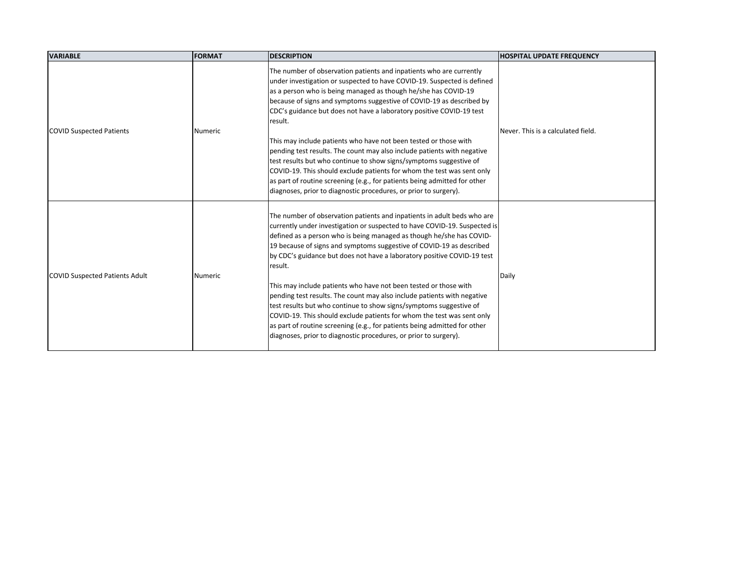| <b>VARIABLE</b>                       | <b>FORMAT</b> | <b>DESCRIPTION</b>                                                                                                                                                                                                                                                                                                                                                                                                                                                                                                                                                                                                                                                                                                                                                                                                                         | <b>HOSPITAL UPDATE FREQUENCY</b>   |
|---------------------------------------|---------------|--------------------------------------------------------------------------------------------------------------------------------------------------------------------------------------------------------------------------------------------------------------------------------------------------------------------------------------------------------------------------------------------------------------------------------------------------------------------------------------------------------------------------------------------------------------------------------------------------------------------------------------------------------------------------------------------------------------------------------------------------------------------------------------------------------------------------------------------|------------------------------------|
| <b>COVID Suspected Patients</b>       | Numeric       | The number of observation patients and inpatients who are currently<br>under investigation or suspected to have COVID-19. Suspected is defined<br>as a person who is being managed as though he/she has COVID-19<br>because of signs and symptoms suggestive of COVID-19 as described by<br>CDC's guidance but does not have a laboratory positive COVID-19 test<br>result.<br>This may include patients who have not been tested or those with<br>pending test results. The count may also include patients with negative<br>test results but who continue to show signs/symptoms suggestive of<br>COVID-19. This should exclude patients for whom the test was sent only<br>as part of routine screening (e.g., for patients being admitted for other<br>diagnoses, prior to diagnostic procedures, or prior to surgery).                | Never. This is a calculated field. |
| <b>COVID Suspected Patients Adult</b> | Numeric       | The number of observation patients and inpatients in adult beds who are<br>currently under investigation or suspected to have COVID-19. Suspected is<br>defined as a person who is being managed as though he/she has COVID-<br>19 because of signs and symptoms suggestive of COVID-19 as described<br>by CDC's guidance but does not have a laboratory positive COVID-19 test<br>result.<br>This may include patients who have not been tested or those with<br>pending test results. The count may also include patients with negative<br>test results but who continue to show signs/symptoms suggestive of<br>COVID-19. This should exclude patients for whom the test was sent only<br>as part of routine screening (e.g., for patients being admitted for other<br>diagnoses, prior to diagnostic procedures, or prior to surgery). | Daily                              |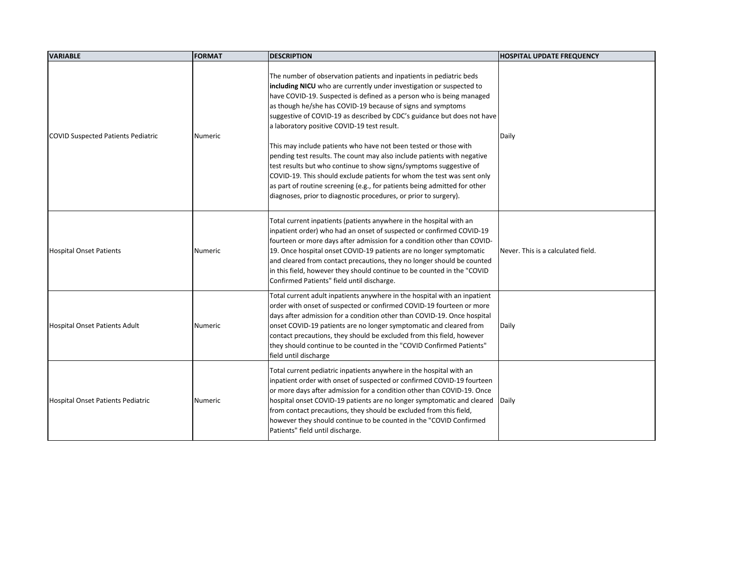| <b>VARIABLE</b>                           | <b>FORMAT</b>  | <b>DESCRIPTION</b>                                                                                                                                                                                                                                                                                                                                                                                                                                                                                                                                                                                                                                                                                                                                                                                                                                           | <b>HOSPITAL UPDATE FREQUENCY</b>   |
|-------------------------------------------|----------------|--------------------------------------------------------------------------------------------------------------------------------------------------------------------------------------------------------------------------------------------------------------------------------------------------------------------------------------------------------------------------------------------------------------------------------------------------------------------------------------------------------------------------------------------------------------------------------------------------------------------------------------------------------------------------------------------------------------------------------------------------------------------------------------------------------------------------------------------------------------|------------------------------------|
| <b>COVID Suspected Patients Pediatric</b> | Numeric        | The number of observation patients and inpatients in pediatric beds<br>including NICU who are currently under investigation or suspected to<br>have COVID-19. Suspected is defined as a person who is being managed<br>as though he/she has COVID-19 because of signs and symptoms<br>suggestive of COVID-19 as described by CDC's guidance but does not have<br>a laboratory positive COVID-19 test result.<br>This may include patients who have not been tested or those with<br>pending test results. The count may also include patients with negative<br>test results but who continue to show signs/symptoms suggestive of<br>COVID-19. This should exclude patients for whom the test was sent only<br>as part of routine screening (e.g., for patients being admitted for other<br>diagnoses, prior to diagnostic procedures, or prior to surgery). | Daily                              |
| <b>Hospital Onset Patients</b>            | Numeric        | Total current inpatients (patients anywhere in the hospital with an<br>inpatient order) who had an onset of suspected or confirmed COVID-19<br>fourteen or more days after admission for a condition other than COVID-<br>19. Once hospital onset COVID-19 patients are no longer symptomatic<br>and cleared from contact precautions, they no longer should be counted<br>in this field, however they should continue to be counted in the "COVID<br>Confirmed Patients" field until discharge.                                                                                                                                                                                                                                                                                                                                                             | Never. This is a calculated field. |
| Hospital Onset Patients Adult             | Numeric        | Total current adult inpatients anywhere in the hospital with an inpatient<br>order with onset of suspected or confirmed COVID-19 fourteen or more<br>days after admission for a condition other than COVID-19. Once hospital<br>onset COVID-19 patients are no longer symptomatic and cleared from<br>contact precautions, they should be excluded from this field, however<br>they should continue to be counted in the "COVID Confirmed Patients"<br>field until discharge                                                                                                                                                                                                                                                                                                                                                                                 | Daily                              |
| Hospital Onset Patients Pediatric         | <b>Numeric</b> | Total current pediatric inpatients anywhere in the hospital with an<br>inpatient order with onset of suspected or confirmed COVID-19 fourteen<br>or more days after admission for a condition other than COVID-19. Once<br>hospital onset COVID-19 patients are no longer symptomatic and cleared<br>from contact precautions, they should be excluded from this field,<br>however they should continue to be counted in the "COVID Confirmed<br>Patients" field until discharge.                                                                                                                                                                                                                                                                                                                                                                            | Daily                              |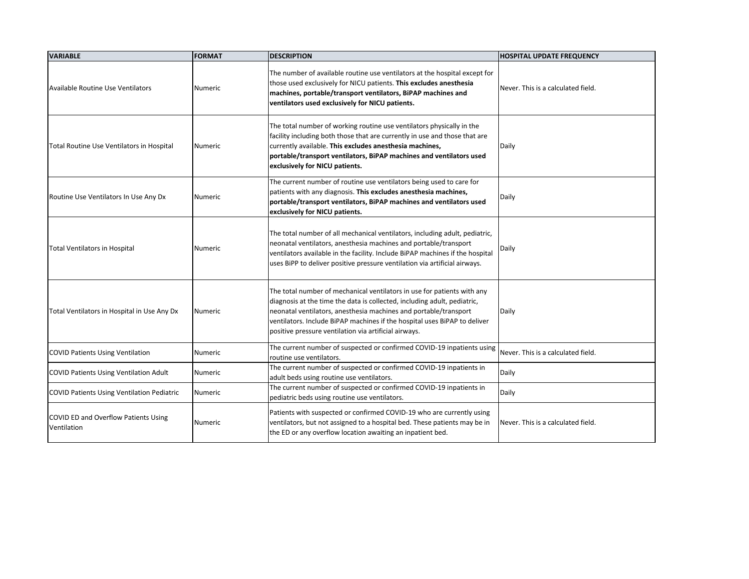| <b>VARIABLE</b>                                     | <b>FORMAT</b>  | <b>DESCRIPTION</b>                                                                                                                                                                                                                                                                                                                                            | <b>HOSPITAL UPDATE FREQUENCY</b>   |
|-----------------------------------------------------|----------------|---------------------------------------------------------------------------------------------------------------------------------------------------------------------------------------------------------------------------------------------------------------------------------------------------------------------------------------------------------------|------------------------------------|
| Available Routine Use Ventilators                   | <b>Numeric</b> | The number of available routine use ventilators at the hospital except for<br>those used exclusively for NICU patients. This excludes anesthesia<br>machines, portable/transport ventilators, BiPAP machines and<br>ventilators used exclusively for NICU patients.                                                                                           | Never. This is a calculated field. |
| Total Routine Use Ventilators in Hospital           | Numeric        | The total number of working routine use ventilators physically in the<br>facility including both those that are currently in use and those that are<br>currently available. This excludes anesthesia machines,<br>portable/transport ventilators, BiPAP machines and ventilators used<br>exclusively for NICU patients.                                       | Daily                              |
| Routine Use Ventilators In Use Any Dx               | Numeric        | The current number of routine use ventilators being used to care for<br>patients with any diagnosis. This excludes anesthesia machines,<br>portable/transport ventilators, BiPAP machines and ventilators used<br>exclusively for NICU patients.                                                                                                              | Daily                              |
| <b>Total Ventilators in Hospital</b>                | Numeric        | The total number of all mechanical ventilators, including adult, pediatric,<br>neonatal ventilators, anesthesia machines and portable/transport<br>ventilators available in the facility. Include BiPAP machines if the hospital<br>uses BiPP to deliver positive pressure ventilation via artificial airways.                                                | Daily                              |
| Total Ventilators in Hospital in Use Any Dx         | Numeric        | The total number of mechanical ventilators in use for patients with any<br>diagnosis at the time the data is collected, including adult, pediatric,<br>neonatal ventilators, anesthesia machines and portable/transport<br>ventilators. Include BiPAP machines if the hospital uses BiPAP to deliver<br>positive pressure ventilation via artificial airways. | Daily                              |
| <b>COVID Patients Using Ventilation</b>             | <b>Numeric</b> | The current number of suspected or confirmed COVID-19 inpatients using<br>routine use ventilators.                                                                                                                                                                                                                                                            | Never. This is a calculated field. |
| <b>COVID Patients Using Ventilation Adult</b>       | Numeric        | The current number of suspected or confirmed COVID-19 inpatients in<br>adult beds using routine use ventilators.                                                                                                                                                                                                                                              | Daily                              |
| <b>COVID Patients Using Ventilation Pediatric</b>   | Numeric        | The current number of suspected or confirmed COVID-19 inpatients in<br>pediatric beds using routine use ventilators.                                                                                                                                                                                                                                          | Daily                              |
| COVID ED and Overflow Patients Using<br>Ventilation | Numeric        | Patients with suspected or confirmed COVID-19 who are currently using<br>ventilators, but not assigned to a hospital bed. These patients may be in<br>the ED or any overflow location awaiting an inpatient bed.                                                                                                                                              | Never. This is a calculated field. |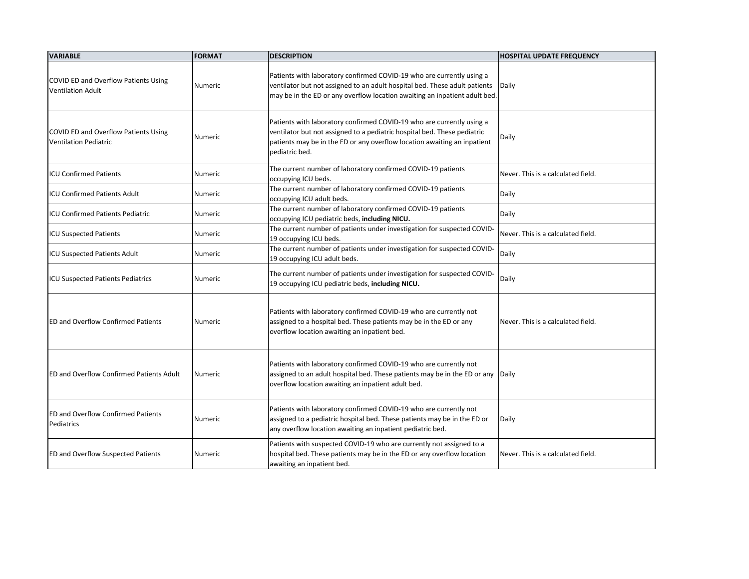| <b>VARIABLE</b>                                                      | <b>FORMAT</b>  | <b>DESCRIPTION</b>                                                                                                                                                                                                                              | <b>HOSPITAL UPDATE FREQUENCY</b>   |
|----------------------------------------------------------------------|----------------|-------------------------------------------------------------------------------------------------------------------------------------------------------------------------------------------------------------------------------------------------|------------------------------------|
| COVID ED and Overflow Patients Using<br><b>Ventilation Adult</b>     | <b>Numeric</b> | Patients with laboratory confirmed COVID-19 who are currently using a<br>ventilator but not assigned to an adult hospital bed. These adult patients<br>may be in the ED or any overflow location awaiting an inpatient adult bed.               | Daily                              |
| COVID ED and Overflow Patients Using<br><b>Ventilation Pediatric</b> | <b>Numeric</b> | Patients with laboratory confirmed COVID-19 who are currently using a<br>ventilator but not assigned to a pediatric hospital bed. These pediatric<br>patients may be in the ED or any overflow location awaiting an inpatient<br>pediatric bed. | Daily                              |
| <b>ICU Confirmed Patients</b>                                        | Numeric        | The current number of laboratory confirmed COVID-19 patients<br>occupying ICU beds.                                                                                                                                                             | Never. This is a calculated field. |
| <b>ICU Confirmed Patients Adult</b>                                  | <b>Numeric</b> | The current number of laboratory confirmed COVID-19 patients<br>occupying ICU adult beds.                                                                                                                                                       | Daily                              |
| <b>ICU Confirmed Patients Pediatric</b>                              | Numeric        | The current number of laboratory confirmed COVID-19 patients<br>occupying ICU pediatric beds, including NICU.                                                                                                                                   | Daily                              |
| <b>ICU Suspected Patients</b>                                        | Numeric        | The current number of patients under investigation for suspected COVID-<br>19 occupying ICU beds.                                                                                                                                               | Never. This is a calculated field. |
| <b>ICU Suspected Patients Adult</b>                                  | <b>Numeric</b> | The current number of patients under investigation for suspected COVID-<br>19 occupying ICU adult beds.                                                                                                                                         | Daily                              |
| <b>ICU Suspected Patients Pediatrics</b>                             | Numeric        | The current number of patients under investigation for suspected COVID-<br>19 occupying ICU pediatric beds, including NICU.                                                                                                                     | Daily                              |
| <b>IED and Overflow Confirmed Patients</b>                           | <b>Numeric</b> | Patients with laboratory confirmed COVID-19 who are currently not<br>assigned to a hospital bed. These patients may be in the ED or any<br>overflow location awaiting an inpatient bed.                                                         | Never. This is a calculated field. |
| <b>ED and Overflow Confirmed Patients Adult</b>                      | Numeric        | Patients with laboratory confirmed COVID-19 who are currently not<br>assigned to an adult hospital bed. These patients may be in the ED or any Daily<br>overflow location awaiting an inpatient adult bed.                                      |                                    |
| <b>ED and Overflow Confirmed Patients</b><br>Pediatrics              | Numeric        | Patients with laboratory confirmed COVID-19 who are currently not<br>assigned to a pediatric hospital bed. These patients may be in the ED or<br>any overflow location awaiting an inpatient pediatric bed.                                     | Daily                              |
| <b>ED and Overflow Suspected Patients</b>                            | Numeric        | Patients with suspected COVID-19 who are currently not assigned to a<br>hospital bed. These patients may be in the ED or any overflow location<br>awaiting an inpatient bed.                                                                    | Never. This is a calculated field. |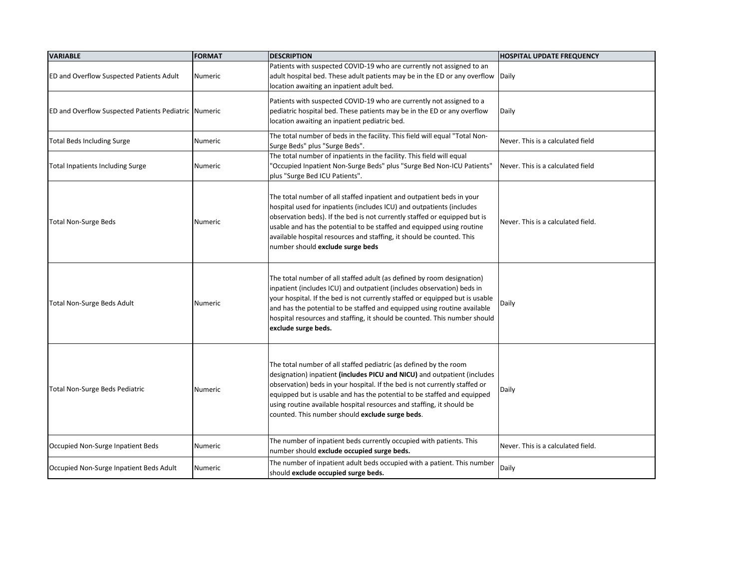| <b>VARIABLE</b>                                             | <b>FORMAT</b>  | <b>DESCRIPTION</b>                                                                                                                                                                                                                                                                                                                                                                                                                 | <b>HOSPITAL UPDATE FREQUENCY</b>   |
|-------------------------------------------------------------|----------------|------------------------------------------------------------------------------------------------------------------------------------------------------------------------------------------------------------------------------------------------------------------------------------------------------------------------------------------------------------------------------------------------------------------------------------|------------------------------------|
| <b>ED and Overflow Suspected Patients Adult</b>             | Numeric        | Patients with suspected COVID-19 who are currently not assigned to an<br>adult hospital bed. These adult patients may be in the ED or any overflow<br>location awaiting an inpatient adult bed.                                                                                                                                                                                                                                    | Daily                              |
| <b>ED and Overflow Suspected Patients Pediatric Numeric</b> |                | Patients with suspected COVID-19 who are currently not assigned to a<br>pediatric hospital bed. These patients may be in the ED or any overflow<br>location awaiting an inpatient pediatric bed.                                                                                                                                                                                                                                   | Daily                              |
| <b>Total Beds Including Surge</b>                           | Numeric        | The total number of beds in the facility. This field will equal "Total Non-<br>Surge Beds" plus "Surge Beds".                                                                                                                                                                                                                                                                                                                      | Never. This is a calculated field  |
| <b>Total Inpatients Including Surge</b>                     | Numeric        | The total number of inpatients in the facility. This field will equal<br>'Occupied Inpatient Non-Surge Beds" plus "Surge Bed Non-ICU Patients"<br>plus "Surge Bed ICU Patients".                                                                                                                                                                                                                                                   | Never. This is a calculated field  |
| <b>Total Non-Surge Beds</b>                                 | <b>Numeric</b> | The total number of all staffed inpatient and outpatient beds in your<br>hospital used for inpatients (includes ICU) and outpatients (includes<br>observation beds). If the bed is not currently staffed or equipped but is<br>usable and has the potential to be staffed and equipped using routine<br>available hospital resources and staffing, it should be counted. This<br>number should exclude surge beds                  | Never. This is a calculated field. |
| <b>Total Non-Surge Beds Adult</b>                           | <b>Numeric</b> | The total number of all staffed adult (as defined by room designation)<br>inpatient (includes ICU) and outpatient (includes observation) beds in<br>your hospital. If the bed is not currently staffed or equipped but is usable<br>and has the potential to be staffed and equipped using routine available<br>hospital resources and staffing, it should be counted. This number should<br>exclude surge beds.                   | Daily                              |
| Total Non-Surge Beds Pediatric                              | Numeric        | The total number of all staffed pediatric (as defined by the room<br>designation) inpatient (includes PICU and NICU) and outpatient (includes<br>observation) beds in your hospital. If the bed is not currently staffed or<br>equipped but is usable and has the potential to be staffed and equipped<br>using routine available hospital resources and staffing, it should be<br>counted. This number should exclude surge beds. | Daily                              |
| Occupied Non-Surge Inpatient Beds                           | Numeric        | The number of inpatient beds currently occupied with patients. This<br>number should exclude occupied surge beds.                                                                                                                                                                                                                                                                                                                  | Never. This is a calculated field. |
| Occupied Non-Surge Inpatient Beds Adult                     | Numeric        | The number of inpatient adult beds occupied with a patient. This number<br>should exclude occupied surge beds.                                                                                                                                                                                                                                                                                                                     | Daily                              |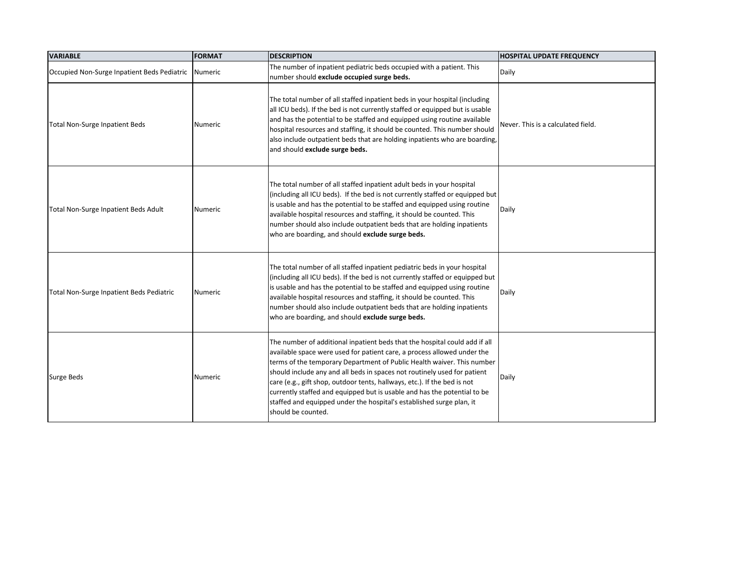| <b>VARIABLE</b>                             | <b>FORMAT</b> | <b>DESCRIPTION</b>                                                                                                                                                                                                                                                                                                                                                                                                                                                                                                                                                | <b>HOSPITAL UPDATE FREQUENCY</b>   |
|---------------------------------------------|---------------|-------------------------------------------------------------------------------------------------------------------------------------------------------------------------------------------------------------------------------------------------------------------------------------------------------------------------------------------------------------------------------------------------------------------------------------------------------------------------------------------------------------------------------------------------------------------|------------------------------------|
| Occupied Non-Surge Inpatient Beds Pediatric | Numeric       | The number of inpatient pediatric beds occupied with a patient. This<br>number should exclude occupied surge beds.                                                                                                                                                                                                                                                                                                                                                                                                                                                | Daily                              |
| Total Non-Surge Inpatient Beds              | Numeric       | The total number of all staffed inpatient beds in your hospital (including<br>all ICU beds). If the bed is not currently staffed or equipped but is usable<br>and has the potential to be staffed and equipped using routine available<br>hospital resources and staffing, it should be counted. This number should<br>also include outpatient beds that are holding inpatients who are boarding,<br>and should exclude surge beds.                                                                                                                               | Never. This is a calculated field. |
| Total Non-Surge Inpatient Beds Adult        | Numeric       | The total number of all staffed inpatient adult beds in your hospital<br>(including all ICU beds). If the bed is not currently staffed or equipped but<br>is usable and has the potential to be staffed and equipped using routine<br>available hospital resources and staffing, it should be counted. This<br>number should also include outpatient beds that are holding inpatients<br>who are boarding, and should exclude surge beds.                                                                                                                         | Daily                              |
| Total Non-Surge Inpatient Beds Pediatric    | Numeric       | The total number of all staffed inpatient pediatric beds in your hospital<br>(including all ICU beds). If the bed is not currently staffed or equipped but<br>is usable and has the potential to be staffed and equipped using routine<br>available hospital resources and staffing, it should be counted. This<br>number should also include outpatient beds that are holding inpatients<br>who are boarding, and should exclude surge beds.                                                                                                                     | Daily                              |
| Surge Beds                                  | Numeric       | The number of additional inpatient beds that the hospital could add if all<br>available space were used for patient care, a process allowed under the<br>terms of the temporary Department of Public Health waiver. This number<br>should include any and all beds in spaces not routinely used for patient<br>care (e.g., gift shop, outdoor tents, hallways, etc.). If the bed is not<br>currently staffed and equipped but is usable and has the potential to be<br>staffed and equipped under the hospital's established surge plan, it<br>should be counted. | Daily                              |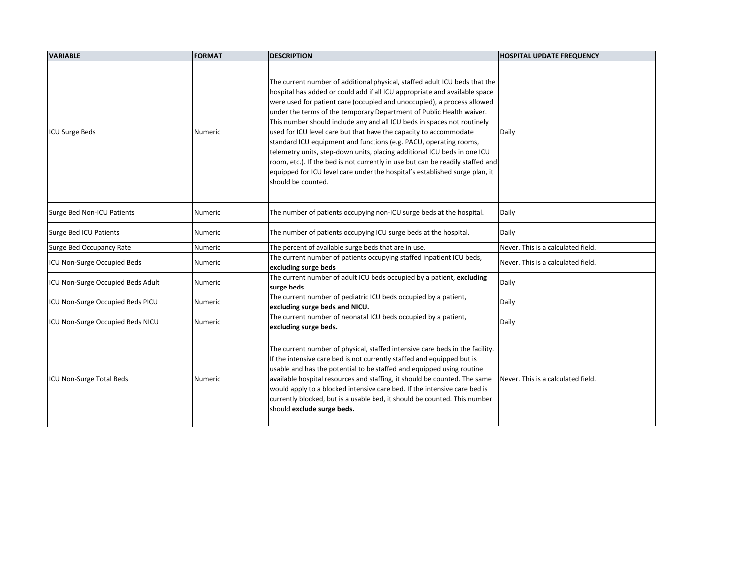| <b>VARIABLE</b>                   | FORMAT         | <b>DESCRIPTION</b>                                                                                                                                                                                                                                                                                                                                                                                                                                                                                                                                                                                                                                                                                                                                                                                  | <b>HOSPITAL UPDATE FREQUENCY</b>   |
|-----------------------------------|----------------|-----------------------------------------------------------------------------------------------------------------------------------------------------------------------------------------------------------------------------------------------------------------------------------------------------------------------------------------------------------------------------------------------------------------------------------------------------------------------------------------------------------------------------------------------------------------------------------------------------------------------------------------------------------------------------------------------------------------------------------------------------------------------------------------------------|------------------------------------|
| <b>ICU Surge Beds</b>             | <b>Numeric</b> | The current number of additional physical, staffed adult ICU beds that the<br>hospital has added or could add if all ICU appropriate and available space<br>were used for patient care (occupied and unoccupied), a process allowed<br>under the terms of the temporary Department of Public Health waiver.<br>This number should include any and all ICU beds in spaces not routinely<br>used for ICU level care but that have the capacity to accommodate<br>standard ICU equipment and functions (e.g. PACU, operating rooms,<br>telemetry units, step-down units, placing additional ICU beds in one ICU<br>room, etc.). If the bed is not currently in use but can be readily staffed and<br>equipped for ICU level care under the hospital's established surge plan, it<br>should be counted. | Daily                              |
| Surge Bed Non-ICU Patients        | <b>Numeric</b> | The number of patients occupying non-ICU surge beds at the hospital.                                                                                                                                                                                                                                                                                                                                                                                                                                                                                                                                                                                                                                                                                                                                | Daily                              |
| Surge Bed ICU Patients            | Numeric        | The number of patients occupying ICU surge beds at the hospital.                                                                                                                                                                                                                                                                                                                                                                                                                                                                                                                                                                                                                                                                                                                                    | Daily                              |
| Surge Bed Occupancy Rate          | Numeric        | The percent of available surge beds that are in use.                                                                                                                                                                                                                                                                                                                                                                                                                                                                                                                                                                                                                                                                                                                                                | Never. This is a calculated field. |
| ICU Non-Surge Occupied Beds       | <b>Numeric</b> | The current number of patients occupying staffed inpatient ICU beds,<br>excluding surge beds                                                                                                                                                                                                                                                                                                                                                                                                                                                                                                                                                                                                                                                                                                        | Never. This is a calculated field. |
| ICU Non-Surge Occupied Beds Adult | <b>Numeric</b> | The current number of adult ICU beds occupied by a patient, excluding<br>surge beds.                                                                                                                                                                                                                                                                                                                                                                                                                                                                                                                                                                                                                                                                                                                | Daily                              |
| ICU Non-Surge Occupied Beds PICU  | Numeric        | The current number of pediatric ICU beds occupied by a patient,<br>excluding surge beds and NICU.                                                                                                                                                                                                                                                                                                                                                                                                                                                                                                                                                                                                                                                                                                   | Daily                              |
| ICU Non-Surge Occupied Beds NICU  | <b>Numeric</b> | The current number of neonatal ICU beds occupied by a patient,<br>excluding surge beds.                                                                                                                                                                                                                                                                                                                                                                                                                                                                                                                                                                                                                                                                                                             | Daily                              |
| <b>ICU Non-Surge Total Beds</b>   | <b>Numeric</b> | The current number of physical, staffed intensive care beds in the facility.<br>If the intensive care bed is not currently staffed and equipped but is<br>usable and has the potential to be staffed and equipped using routine<br>available hospital resources and staffing, it should be counted. The same<br>would apply to a blocked intensive care bed. If the intensive care bed is<br>currently blocked, but is a usable bed, it should be counted. This number<br>should exclude surge beds.                                                                                                                                                                                                                                                                                                | Never. This is a calculated field. |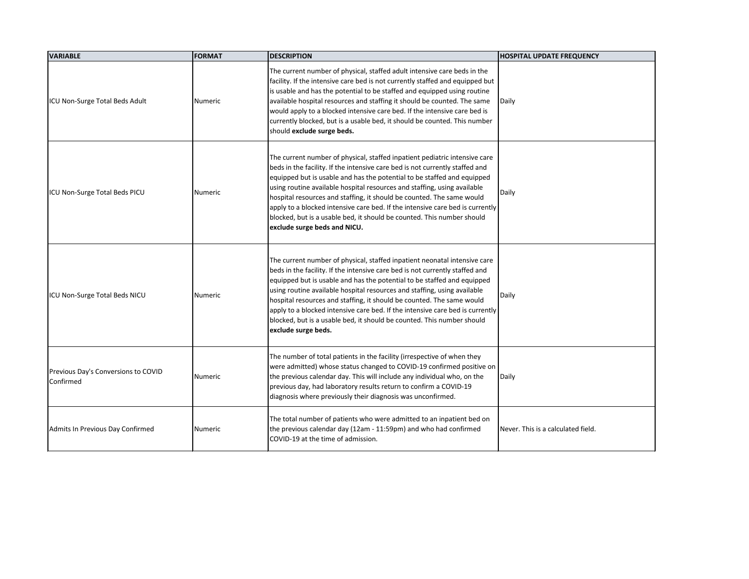| <b>VARIABLE</b>                                  | <b>FORMAT</b>  | <b>DESCRIPTION</b>                                                                                                                                                                                                                                                                                                                                                                                                                                                                                                                                                                    | <b>HOSPITAL UPDATE FREQUENCY</b>   |
|--------------------------------------------------|----------------|---------------------------------------------------------------------------------------------------------------------------------------------------------------------------------------------------------------------------------------------------------------------------------------------------------------------------------------------------------------------------------------------------------------------------------------------------------------------------------------------------------------------------------------------------------------------------------------|------------------------------------|
| ICU Non-Surge Total Beds Adult                   | Numeric        | The current number of physical, staffed adult intensive care beds in the<br>facility. If the intensive care bed is not currently staffed and equipped but<br>is usable and has the potential to be staffed and equipped using routine<br>available hospital resources and staffing it should be counted. The same<br>would apply to a blocked intensive care bed. If the intensive care bed is<br>currently blocked, but is a usable bed, it should be counted. This number<br>should exclude surge beds.                                                                             | Daily                              |
| ICU Non-Surge Total Beds PICU                    | <b>Numeric</b> | The current number of physical, staffed inpatient pediatric intensive care<br>beds in the facility. If the intensive care bed is not currently staffed and<br>equipped but is usable and has the potential to be staffed and equipped<br>using routine available hospital resources and staffing, using available<br>hospital resources and staffing, it should be counted. The same would<br>apply to a blocked intensive care bed. If the intensive care bed is currently<br>blocked, but is a usable bed, it should be counted. This number should<br>exclude surge beds and NICU. | Daily                              |
| ICU Non-Surge Total Beds NICU                    | Numeric        | The current number of physical, staffed inpatient neonatal intensive care<br>beds in the facility. If the intensive care bed is not currently staffed and<br>equipped but is usable and has the potential to be staffed and equipped<br>using routine available hospital resources and staffing, using available<br>hospital resources and staffing, it should be counted. The same would<br>apply to a blocked intensive care bed. If the intensive care bed is currently<br>blocked, but is a usable bed, it should be counted. This number should<br>exclude surge beds.           | Daily                              |
| Previous Day's Conversions to COVID<br>Confirmed | Numeric        | The number of total patients in the facility (irrespective of when they<br>were admitted) whose status changed to COVID-19 confirmed positive on<br>the previous calendar day. This will include any individual who, on the<br>previous day, had laboratory results return to confirm a COVID-19<br>diagnosis where previously their diagnosis was unconfirmed.                                                                                                                                                                                                                       | Daily                              |
| Admits In Previous Day Confirmed                 | Numeric        | The total number of patients who were admitted to an inpatient bed on<br>the previous calendar day (12am - 11:59pm) and who had confirmed<br>COVID-19 at the time of admission.                                                                                                                                                                                                                                                                                                                                                                                                       | Never. This is a calculated field. |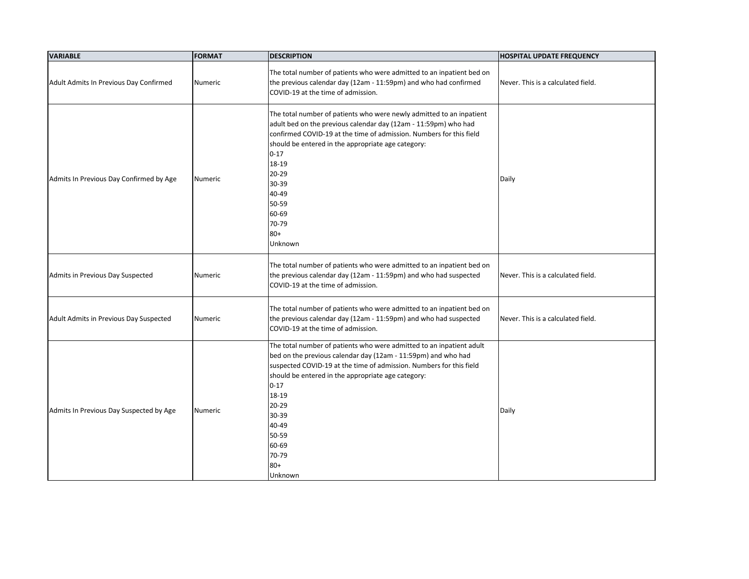| <b>VARIABLE</b>                         | <b>FORMAT</b>  | <b>DESCRIPTION</b>                                                                                                                                                                                                                                                                                                                                                      | <b>HOSPITAL UPDATE FREQUENCY</b>   |
|-----------------------------------------|----------------|-------------------------------------------------------------------------------------------------------------------------------------------------------------------------------------------------------------------------------------------------------------------------------------------------------------------------------------------------------------------------|------------------------------------|
| Adult Admits In Previous Day Confirmed  | Numeric        | The total number of patients who were admitted to an inpatient bed on<br>the previous calendar day (12am - 11:59pm) and who had confirmed<br>COVID-19 at the time of admission.                                                                                                                                                                                         | Never. This is a calculated field. |
| Admits In Previous Day Confirmed by Age | <b>Numeric</b> | The total number of patients who were newly admitted to an inpatient<br>adult bed on the previous calendar day (12am - 11:59pm) who had<br>confirmed COVID-19 at the time of admission. Numbers for this field<br>should be entered in the appropriate age category:<br>$0 - 17$<br>18-19<br>$20 - 29$<br>30-39<br>40-49<br>50-59<br>60-69<br>70-79<br>$80+$<br>Unknown | Daily                              |
| Admits in Previous Day Suspected        | <b>Numeric</b> | The total number of patients who were admitted to an inpatient bed on<br>the previous calendar day (12am - 11:59pm) and who had suspected<br>COVID-19 at the time of admission.                                                                                                                                                                                         | Never. This is a calculated field. |
| Adult Admits in Previous Day Suspected  | Numeric        | The total number of patients who were admitted to an inpatient bed on<br>the previous calendar day (12am - 11:59pm) and who had suspected<br>COVID-19 at the time of admission.                                                                                                                                                                                         | Never. This is a calculated field. |
| Admits In Previous Day Suspected by Age | Numeric        | The total number of patients who were admitted to an inpatient adult<br>bed on the previous calendar day (12am - 11:59pm) and who had<br>suspected COVID-19 at the time of admission. Numbers for this field<br>should be entered in the appropriate age category:<br>$0 - 17$<br>18-19<br>20-29<br>30-39<br>40-49<br>50-59<br>60-69<br>70-79<br>$80+$<br>Unknown       | Daily                              |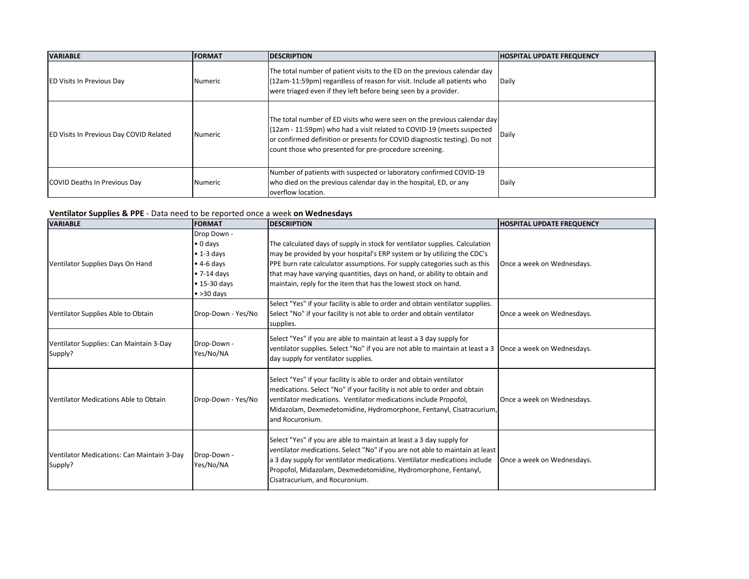| <b>VARIABLE</b>                                | <b>FORMAT</b>  | <b>IDESCRIPTION</b>                                                                                                                                                                                                                                                                      | <b>HOSPITAL UPDATE FREQUENCY</b> |
|------------------------------------------------|----------------|------------------------------------------------------------------------------------------------------------------------------------------------------------------------------------------------------------------------------------------------------------------------------------------|----------------------------------|
| <b>ED Visits In Previous Day</b>               | l Numeric      | The total number of patient visits to the ED on the previous calendar day<br>(12am-11:59pm) regardless of reason for visit. Include all patients who<br>were triaged even if they left before being seen by a provider.                                                                  | Daily                            |
| <b>ED Visits In Previous Day COVID Related</b> | <b>Numeric</b> | The total number of ED visits who were seen on the previous calendar day<br>(12am - 11:59pm) who had a visit related to COVID-19 (meets suspected<br>or confirmed definition or presents for COVID diagnostic testing). Do not<br>count those who presented for pre-procedure screening. | Daily                            |
| COVID Deaths In Previous Day                   | <b>Numeric</b> | Number of patients with suspected or laboratory confirmed COVID-19<br>who died on the previous calendar day in the hospital, ED, or any<br>overflow location.                                                                                                                            | Daily                            |

### **Ventilator Supplies & PPE** - Data need to be reported once a week **on Wednesdays**

| <b>VARIABLE</b>                                       | <b>FORMAT</b>            | <b>DESCRIPTION</b>                                                                                                                                                                                                                                                                                                                    | <b>HOSPITAL UPDATE FREQUENCY</b> |
|-------------------------------------------------------|--------------------------|---------------------------------------------------------------------------------------------------------------------------------------------------------------------------------------------------------------------------------------------------------------------------------------------------------------------------------------|----------------------------------|
|                                                       | Drop Down -              |                                                                                                                                                                                                                                                                                                                                       |                                  |
|                                                       | $\bullet$ 0 days         | The calculated days of supply in stock for ventilator supplies. Calculation                                                                                                                                                                                                                                                           |                                  |
|                                                       | $\bullet$ 1-3 days       | may be provided by your hospital's ERP system or by utilizing the CDC's                                                                                                                                                                                                                                                               |                                  |
| Ventilator Supplies Days On Hand                      | $\bullet$ 4-6 days       | PPE burn rate calculator assumptions. For supply categories such as this                                                                                                                                                                                                                                                              | Once a week on Wednesdays.       |
|                                                       | $\bullet$ 7-14 days      | that may have varying quantities, days on hand, or ability to obtain and                                                                                                                                                                                                                                                              |                                  |
|                                                       | $\bullet$ 15-30 days     | maintain, reply for the item that has the lowest stock on hand.                                                                                                                                                                                                                                                                       |                                  |
|                                                       | $\bullet$ >30 days       |                                                                                                                                                                                                                                                                                                                                       |                                  |
|                                                       |                          | Select "Yes" if your facility is able to order and obtain ventilator supplies.                                                                                                                                                                                                                                                        |                                  |
| Ventilator Supplies Able to Obtain                    | Drop-Down - Yes/No       | Select "No" if your facility is not able to order and obtain ventilator<br>supplies.                                                                                                                                                                                                                                                  | Once a week on Wednesdays.       |
| Ventilator Supplies: Can Maintain 3-Day<br>Supply?    | Drop-Down -<br>Yes/No/NA | Select "Yes" if you are able to maintain at least a 3 day supply for<br>ventilator supplies. Select "No" if you are not able to maintain at least a 3   Once a week on Wednesdays.<br>day supply for ventilator supplies.                                                                                                             |                                  |
| Ventilator Medications Able to Obtain                 | Drop-Down - Yes/No       | Select "Yes" if your facility is able to order and obtain ventilator<br>medications. Select "No" if your facility is not able to order and obtain<br>ventilator medications. Ventilator medications include Propofol,<br>Midazolam, Dexmedetomidine, Hydromorphone, Fentanyl, Cisatracurium,<br>and Rocuronium.                       | Once a week on Wednesdays.       |
| Ventilator Medications: Can Maintain 3-Day<br>Supply? | Drop-Down -<br>Yes/No/NA | Select "Yes" if you are able to maintain at least a 3 day supply for<br>ventilator medications. Select "No" if you are not able to maintain at least<br>a 3 day supply for ventilator medications. Ventilator medications include<br>Propofol, Midazolam, Dexmedetomidine, Hydromorphone, Fentanyl,<br>Cisatracurium, and Rocuronium. | Once a week on Wednesdays.       |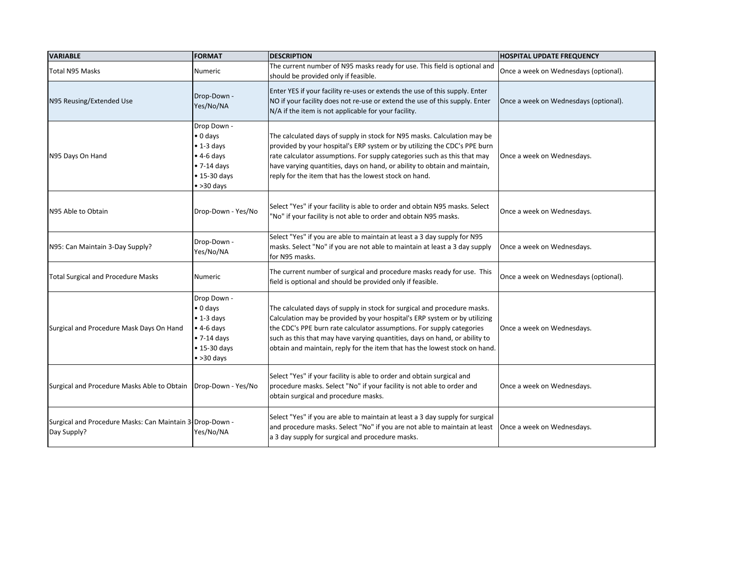| <b>VARIABLE</b>                                                         | <b>FORMAT</b>                                                                                                                                    | <b>DESCRIPTION</b>                                                                                                                                                                                                                                                                                                                                                                         | <b>HOSPITAL UPDATE FREQUENCY</b>      |
|-------------------------------------------------------------------------|--------------------------------------------------------------------------------------------------------------------------------------------------|--------------------------------------------------------------------------------------------------------------------------------------------------------------------------------------------------------------------------------------------------------------------------------------------------------------------------------------------------------------------------------------------|---------------------------------------|
| Total N95 Masks                                                         | <b>Numeric</b>                                                                                                                                   | The current number of N95 masks ready for use. This field is optional and<br>should be provided only if feasible.                                                                                                                                                                                                                                                                          | Once a week on Wednesdays (optional). |
| N95 Reusing/Extended Use                                                | Drop-Down -<br>Yes/No/NA                                                                                                                         | Enter YES if your facility re-uses or extends the use of this supply. Enter<br>NO if your facility does not re-use or extend the use of this supply. Enter<br>N/A if the item is not applicable for your facility.                                                                                                                                                                         | Once a week on Wednesdays (optional). |
| N95 Days On Hand                                                        | Drop Down -<br>$\bullet$ 0 days<br>$\bullet$ 1-3 days<br>$\bullet$ 4-6 days<br>$\bullet$ 7-14 days<br>$\bullet$ 15-30 days<br>$\bullet$ >30 days | The calculated days of supply in stock for N95 masks. Calculation may be<br>provided by your hospital's ERP system or by utilizing the CDC's PPE burn<br>rate calculator assumptions. For supply categories such as this that may<br>have varying quantities, days on hand, or ability to obtain and maintain,<br>reply for the item that has the lowest stock on hand.                    | Once a week on Wednesdays.            |
| N95 Able to Obtain                                                      | Drop-Down - Yes/No                                                                                                                               | Select "Yes" if your facility is able to order and obtain N95 masks. Select<br>"No" if your facility is not able to order and obtain N95 masks.                                                                                                                                                                                                                                            | Once a week on Wednesdays.            |
| N95: Can Maintain 3-Day Supply?                                         | Drop-Down -<br>Yes/No/NA                                                                                                                         | Select "Yes" if you are able to maintain at least a 3 day supply for N95<br>masks. Select "No" if you are not able to maintain at least a 3 day supply<br>for N95 masks.                                                                                                                                                                                                                   | Once a week on Wednesdays.            |
| <b>Total Surgical and Procedure Masks</b>                               | Numeric                                                                                                                                          | The current number of surgical and procedure masks ready for use. This<br>field is optional and should be provided only if feasible.                                                                                                                                                                                                                                                       | Once a week on Wednesdays (optional). |
| Surgical and Procedure Mask Days On Hand                                | Drop Down -<br>$\bullet$ 0 days<br>$\bullet$ 1-3 days<br>$\bullet$ 4-6 days<br>$\bullet$ 7-14 days<br>$\bullet$ 15-30 days<br>$\bullet$ >30 days | The calculated days of supply in stock for surgical and procedure masks.<br>Calculation may be provided by your hospital's ERP system or by utilizing<br>the CDC's PPE burn rate calculator assumptions. For supply categories<br>such as this that may have varying quantities, days on hand, or ability to<br>obtain and maintain, reply for the item that has the lowest stock on hand. | Once a week on Wednesdays.            |
| Surgical and Procedure Masks Able to Obtain   Drop-Down - Yes/No        |                                                                                                                                                  | Select "Yes" if your facility is able to order and obtain surgical and<br>procedure masks. Select "No" if your facility is not able to order and<br>obtain surgical and procedure masks.                                                                                                                                                                                                   | Once a week on Wednesdays.            |
| Surgical and Procedure Masks: Can Maintain 3 Drop-Down -<br>Day Supply? | Yes/No/NA                                                                                                                                        | Select "Yes" if you are able to maintain at least a 3 day supply for surgical<br>and procedure masks. Select "No" if you are not able to maintain at least<br>a 3 day supply for surgical and procedure masks.                                                                                                                                                                             | Once a week on Wednesdays.            |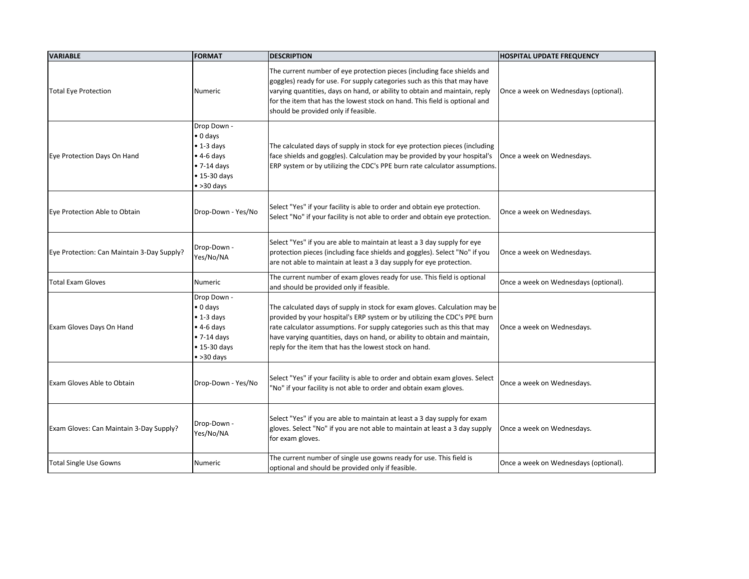| <b>VARIABLE</b>                            | <b>FORMAT</b>                                                                                                                                    | <b>DESCRIPTION</b>                                                                                                                                                                                                                                                                                                                                                        | <b>HOSPITAL UPDATE FREQUENCY</b>      |
|--------------------------------------------|--------------------------------------------------------------------------------------------------------------------------------------------------|---------------------------------------------------------------------------------------------------------------------------------------------------------------------------------------------------------------------------------------------------------------------------------------------------------------------------------------------------------------------------|---------------------------------------|
| <b>Total Eye Protection</b>                | Numeric                                                                                                                                          | The current number of eye protection pieces (including face shields and<br>goggles) ready for use. For supply categories such as this that may have<br>varying quantities, days on hand, or ability to obtain and maintain, reply<br>for the item that has the lowest stock on hand. This field is optional and<br>should be provided only if feasible.                   | Once a week on Wednesdays (optional). |
| Eye Protection Days On Hand                | Drop Down -<br>$\bullet$ 0 days<br>$\bullet$ 1-3 days<br>$\bullet$ 4-6 days<br>$\bullet$ 7-14 days<br>$\bullet$ 15-30 days<br>$\bullet$ >30 days | The calculated days of supply in stock for eye protection pieces (including<br>face shields and goggles). Calculation may be provided by your hospital's<br>ERP system or by utilizing the CDC's PPE burn rate calculator assumptions.                                                                                                                                    | Once a week on Wednesdays.            |
| Eye Protection Able to Obtain              | Drop-Down - Yes/No                                                                                                                               | Select "Yes" if your facility is able to order and obtain eye protection.<br>Select "No" if your facility is not able to order and obtain eye protection.                                                                                                                                                                                                                 | Once a week on Wednesdays.            |
| Eye Protection: Can Maintain 3-Day Supply? | Drop-Down -<br>Yes/No/NA                                                                                                                         | Select "Yes" if you are able to maintain at least a 3 day supply for eye<br>protection pieces (including face shields and goggles). Select "No" if you<br>are not able to maintain at least a 3 day supply for eye protection.                                                                                                                                            | Once a week on Wednesdays.            |
| <b>Total Exam Gloves</b>                   | Numeric                                                                                                                                          | The current number of exam gloves ready for use. This field is optional<br>and should be provided only if feasible.                                                                                                                                                                                                                                                       | Once a week on Wednesdays (optional). |
| Exam Gloves Days On Hand                   | Drop Down -<br>$\bullet$ 0 days<br>$\bullet$ 1-3 days<br>$\bullet$ 4-6 days<br>$\bullet$ 7-14 days<br>$\bullet$ 15-30 days<br>$\bullet$ >30 days | The calculated days of supply in stock for exam gloves. Calculation may be<br>provided by your hospital's ERP system or by utilizing the CDC's PPE burn<br>rate calculator assumptions. For supply categories such as this that may<br>have varying quantities, days on hand, or ability to obtain and maintain,<br>reply for the item that has the lowest stock on hand. | Once a week on Wednesdays.            |
| <b>Exam Gloves Able to Obtain</b>          | Drop-Down - Yes/No                                                                                                                               | Select "Yes" if your facility is able to order and obtain exam gloves. Select<br>"No" if your facility is not able to order and obtain exam gloves.                                                                                                                                                                                                                       | Once a week on Wednesdays.            |
| Exam Gloves: Can Maintain 3-Day Supply?    | Drop-Down -<br>Yes/No/NA                                                                                                                         | Select "Yes" if you are able to maintain at least a 3 day supply for exam<br>gloves. Select "No" if you are not able to maintain at least a 3 day supply<br>for exam gloves.                                                                                                                                                                                              | Once a week on Wednesdays.            |
| <b>Total Single Use Gowns</b>              | Numeric                                                                                                                                          | The current number of single use gowns ready for use. This field is<br>optional and should be provided only if feasible.                                                                                                                                                                                                                                                  | Once a week on Wednesdays (optional). |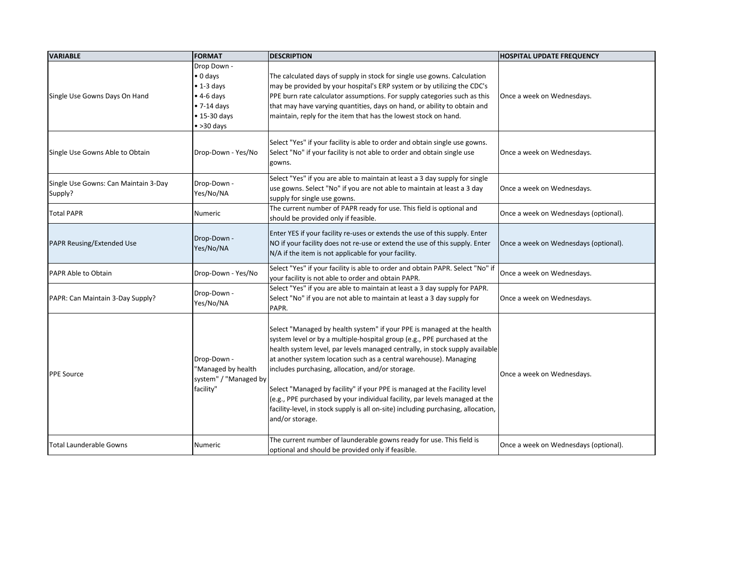| <b>VARIABLE</b>                                 | <b>FORMAT</b>                                                                                                                                    | <b>DESCRIPTION</b>                                                                                                                                                                                                                                                                                                                                                                                                                                                                                                                                                                                                              | <b>HOSPITAL UPDATE FREQUENCY</b>      |
|-------------------------------------------------|--------------------------------------------------------------------------------------------------------------------------------------------------|---------------------------------------------------------------------------------------------------------------------------------------------------------------------------------------------------------------------------------------------------------------------------------------------------------------------------------------------------------------------------------------------------------------------------------------------------------------------------------------------------------------------------------------------------------------------------------------------------------------------------------|---------------------------------------|
| Single Use Gowns Days On Hand                   | Drop Down -<br>$\bullet$ 0 days<br>$\bullet$ 1-3 days<br>$\bullet$ 4-6 days<br>$\bullet$ 7-14 days<br>$\bullet$ 15-30 days<br>$\bullet$ >30 days | The calculated days of supply in stock for single use gowns. Calculation<br>may be provided by your hospital's ERP system or by utilizing the CDC's<br>PPE burn rate calculator assumptions. For supply categories such as this<br>that may have varying quantities, days on hand, or ability to obtain and<br>maintain, reply for the item that has the lowest stock on hand.                                                                                                                                                                                                                                                  | Once a week on Wednesdays.            |
| Single Use Gowns Able to Obtain                 | Drop-Down - Yes/No                                                                                                                               | Select "Yes" if your facility is able to order and obtain single use gowns.<br>Select "No" if your facility is not able to order and obtain single use<br>gowns.                                                                                                                                                                                                                                                                                                                                                                                                                                                                | Once a week on Wednesdays.            |
| Single Use Gowns: Can Maintain 3-Day<br>Supply? | Drop-Down -<br>Yes/No/NA                                                                                                                         | Select "Yes" if you are able to maintain at least a 3 day supply for single<br>use gowns. Select "No" if you are not able to maintain at least a 3 day<br>supply for single use gowns.                                                                                                                                                                                                                                                                                                                                                                                                                                          | Once a week on Wednesdays.            |
| <b>Total PAPR</b>                               | Numeric                                                                                                                                          | The current number of PAPR ready for use. This field is optional and<br>should be provided only if feasible.                                                                                                                                                                                                                                                                                                                                                                                                                                                                                                                    | Once a week on Wednesdays (optional). |
| PAPR Reusing/Extended Use                       | Drop-Down -<br>Yes/No/NA                                                                                                                         | Enter YES if your facility re-uses or extends the use of this supply. Enter<br>NO if your facility does not re-use or extend the use of this supply. Enter<br>N/A if the item is not applicable for your facility.                                                                                                                                                                                                                                                                                                                                                                                                              | Once a week on Wednesdays (optional). |
| PAPR Able to Obtain                             | Drop-Down - Yes/No                                                                                                                               | Select "Yes" if your facility is able to order and obtain PAPR. Select "No" if<br>your facility is not able to order and obtain PAPR.                                                                                                                                                                                                                                                                                                                                                                                                                                                                                           | Once a week on Wednesdays.            |
| PAPR: Can Maintain 3-Day Supply?                | Drop-Down -<br>Yes/No/NA                                                                                                                         | Select "Yes" if you are able to maintain at least a 3 day supply for PAPR.<br>Select "No" if you are not able to maintain at least a 3 day supply for<br>PAPR.                                                                                                                                                                                                                                                                                                                                                                                                                                                                  | Once a week on Wednesdays.            |
| <b>PPE Source</b>                               | Drop-Down<br>"Managed by health<br>system" / "Managed by<br>facility"                                                                            | Select "Managed by health system" if your PPE is managed at the health<br>system level or by a multiple-hospital group (e.g., PPE purchased at the<br>health system level, par levels managed centrally, in stock supply available<br>at another system location such as a central warehouse). Managing<br>includes purchasing, allocation, and/or storage.<br>Select "Managed by facility" if your PPE is managed at the Facility level<br>(e.g., PPE purchased by your individual facility, par levels managed at the<br>facility-level, in stock supply is all on-site) including purchasing, allocation,<br>and/or storage. | Once a week on Wednesdays.            |
| <b>Total Launderable Gowns</b>                  | Numeric                                                                                                                                          | The current number of launderable gowns ready for use. This field is<br>optional and should be provided only if feasible.                                                                                                                                                                                                                                                                                                                                                                                                                                                                                                       | Once a week on Wednesdays (optional). |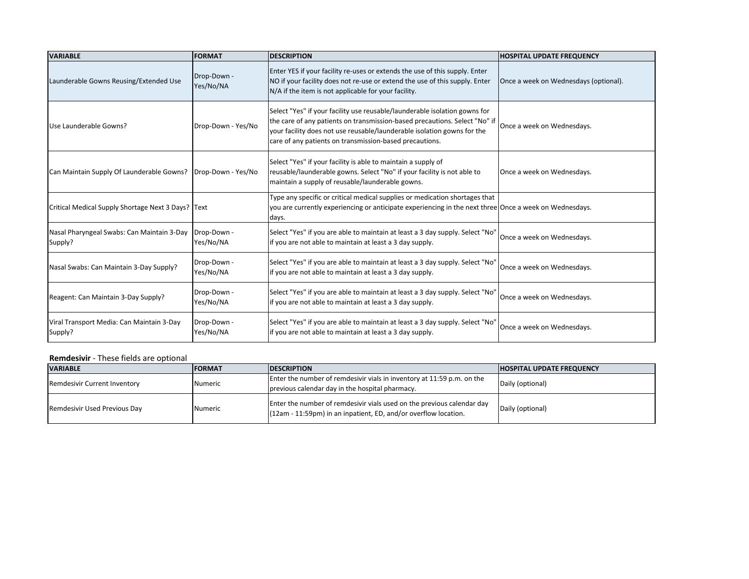| <b>VARIABLE</b>                                                     | <b>FORMAT</b>            | <b>DESCRIPTION</b>                                                                                                                                                                                                                                                                             | <b>HOSPITAL UPDATE FREQUENCY</b>      |
|---------------------------------------------------------------------|--------------------------|------------------------------------------------------------------------------------------------------------------------------------------------------------------------------------------------------------------------------------------------------------------------------------------------|---------------------------------------|
| Launderable Gowns Reusing/Extended Use                              | Drop-Down -<br>Yes/No/NA | Enter YES if your facility re-uses or extends the use of this supply. Enter<br>NO if your facility does not re-use or extend the use of this supply. Enter<br>N/A if the item is not applicable for your facility.                                                                             | Once a week on Wednesdays (optional). |
| Use Launderable Gowns?                                              | Drop-Down - Yes/No       | Select "Yes" if your facility use reusable/launderable isolation gowns for<br>the care of any patients on transmission-based precautions. Select "No" if<br>your facility does not use reusable/launderable isolation gowns for the<br>care of any patients on transmission-based precautions. | Once a week on Wednesdays.            |
| Can Maintain Supply Of Launderable Gowns?   Drop-Down - Yes/No      |                          | Select "Yes" if your facility is able to maintain a supply of<br>reusable/launderable gowns. Select "No" if your facility is not able to<br>maintain a supply of reusable/launderable gowns.                                                                                                   | Once a week on Wednesdays.            |
| Critical Medical Supply Shortage Next 3 Days?   Text                |                          | Type any specific or critical medical supplies or medication shortages that<br>you are currently experiencing or anticipate experiencing in the next three Once a week on Wednesdays.<br>days.                                                                                                 |                                       |
| Nasal Pharyngeal Swabs: Can Maintain 3-Day   Drop-Down -<br>Supply? | Yes/No/NA                | Select "Yes" if you are able to maintain at least a 3 day supply. Select "No'<br>if you are not able to maintain at least a 3 day supply.                                                                                                                                                      | Once a week on Wednesdays.            |
| Nasal Swabs: Can Maintain 3-Day Supply?                             | Drop-Down -<br>Yes/No/NA | Select "Yes" if you are able to maintain at least a 3 day supply. Select "No"<br>if you are not able to maintain at least a 3 day supply.                                                                                                                                                      | Once a week on Wednesdays.            |
| Reagent: Can Maintain 3-Day Supply?                                 | Drop-Down -<br>Yes/No/NA | Select "Yes" if you are able to maintain at least a 3 day supply. Select "No'<br>if you are not able to maintain at least a 3 day supply.                                                                                                                                                      | Once a week on Wednesdays.            |
| Viral Transport Media: Can Maintain 3-Day<br>Supply?                | Drop-Down -<br>Yes/No/NA | Select "Yes" if you are able to maintain at least a 3 day supply. Select "No"<br>if you are not able to maintain at least a 3 day supply.                                                                                                                                                      | Once a week on Wednesdays.            |

# **Remdesivir** - These fields are optional

| <b>VARIABLE</b>              | IFORMAT | <b>IDESCRIPTION</b>                                                                                                                       | <b>IHOSPITAL UPDATE FREQUENCY</b> |
|------------------------------|---------|-------------------------------------------------------------------------------------------------------------------------------------------|-----------------------------------|
| Remdesivir Current Inventory | Numeric | Enter the number of remdesivir vials in inventory at 11:59 p.m. on the<br>previous calendar day in the hospital pharmacy.                 | Daily (optional)                  |
| Remdesivir Used Previous Day | Numeric | Enter the number of remdesivir vials used on the previous calendar day<br>(12am - 11:59pm) in an inpatient, ED, and/or overflow location. | Daily (optional)                  |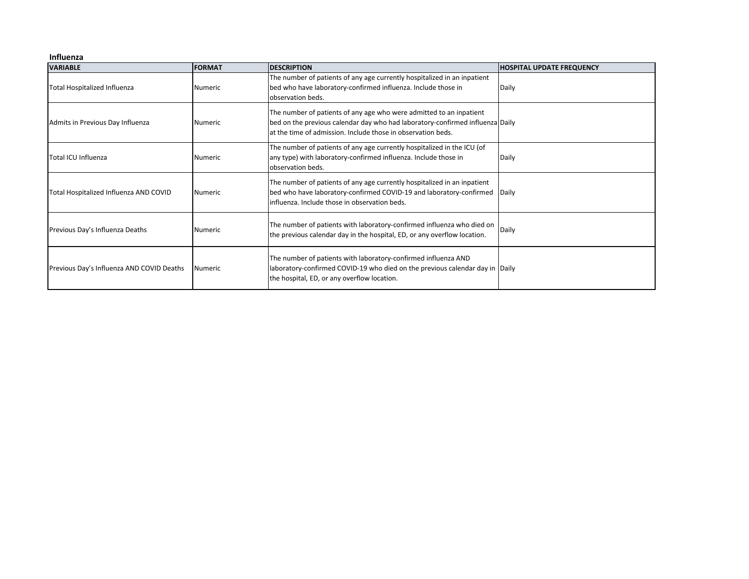#### **Influenza**

| <b>VARIABLE</b>                           | <b>FORMAT</b>  | <b>DESCRIPTION</b>                                                                                                                                                                                                   | <b>HOSPITAL UPDATE FREQUENCY</b> |
|-------------------------------------------|----------------|----------------------------------------------------------------------------------------------------------------------------------------------------------------------------------------------------------------------|----------------------------------|
| <b>Total Hospitalized Influenza</b>       | <b>Numeric</b> | The number of patients of any age currently hospitalized in an inpatient<br>bed who have laboratory-confirmed influenza. Include those in<br>observation beds.                                                       | Daily                            |
| Admits in Previous Day Influenza          | <b>Numeric</b> | The number of patients of any age who were admitted to an inpatient<br>bed on the previous calendar day who had laboratory-confirmed influenza Daily<br>at the time of admission. Include those in observation beds. |                                  |
| Total ICU Influenza                       | <b>Numeric</b> | The number of patients of any age currently hospitalized in the ICU (of<br>any type) with laboratory-confirmed influenza. Include those in<br>observation beds.                                                      | Daily                            |
| Total Hospitalized Influenza AND COVID    | <b>Numeric</b> | The number of patients of any age currently hospitalized in an inpatient<br>bed who have laboratory-confirmed COVID-19 and laboratory-confirmed<br>influenza. Include those in observation beds.                     | <b>IDaily</b>                    |
| Previous Day's Influenza Deaths           | <b>Numeric</b> | The number of patients with laboratory-confirmed influenza who died on<br>the previous calendar day in the hospital, ED, or any overflow location.                                                                   | Daily                            |
| Previous Day's Influenza AND COVID Deaths | <b>Numeric</b> | The number of patients with laboratory-confirmed influenza AND<br>laboratory-confirmed COVID-19 who died on the previous calendar day in Daily<br>the hospital, ED, or any overflow location.                        |                                  |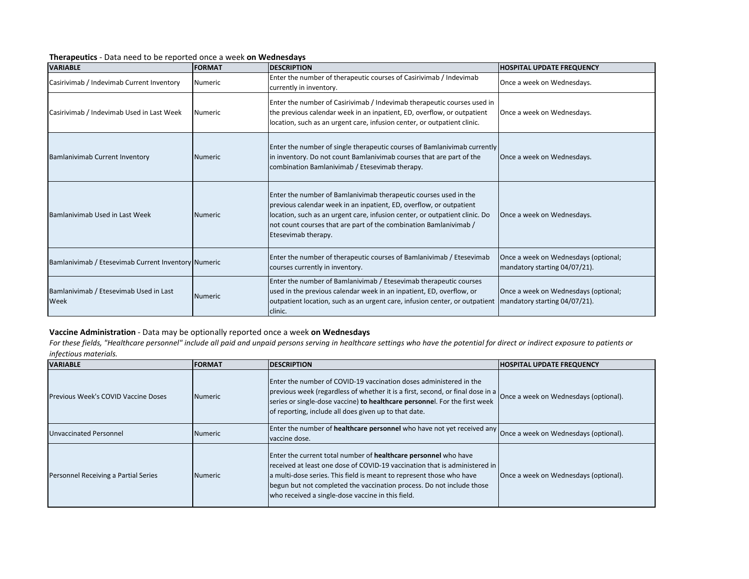| <b>VARIABLE</b>                                     | <b>FORMAT</b>   | <b>DESCRIPTION</b>                                                                                                                                                                                                                                                                                                 | <b>HOSPITAL UPDATE FREQUENCY</b>                                      |
|-----------------------------------------------------|-----------------|--------------------------------------------------------------------------------------------------------------------------------------------------------------------------------------------------------------------------------------------------------------------------------------------------------------------|-----------------------------------------------------------------------|
| Casirivimab / Indevimab Current Inventory           | <b>Numeric</b>  | Enter the number of therapeutic courses of Casirivimab / Indevimab<br>currently in inventory.                                                                                                                                                                                                                      | Once a week on Wednesdays.                                            |
| Casirivimab / Indevimab Used in Last Week           | <b>Numeric</b>  | Enter the number of Casirivimab / Indevimab therapeutic courses used in<br>the previous calendar week in an inpatient, ED, overflow, or outpatient<br>location, such as an urgent care, infusion center, or outpatient clinic.                                                                                     | Once a week on Wednesdays.                                            |
| <b>Bamlanivimab Current Inventory</b>               | <b>INumeric</b> | Enter the number of single therapeutic courses of Bamlanivimab currently<br>in inventory. Do not count Bamlanivimab courses that are part of the<br>combination Bamlanivimab / Etesevimab therapy.                                                                                                                 | Once a week on Wednesdays.                                            |
| Bamlanivimab Used in Last Week                      | <b>INumeric</b> | Enter the number of Bamlanivimab therapeutic courses used in the<br>previous calendar week in an inpatient, ED, overflow, or outpatient<br>location, such as an urgent care, infusion center, or outpatient clinic. Do<br>not count courses that are part of the combination Bamlanivimab /<br>Etesevimab therapy. | Once a week on Wednesdays.                                            |
| Bamlanivimab / Etesevimab Current Inventory Numeric |                 | Enter the number of therapeutic courses of Bamlanivimab / Etesevimab<br>courses currently in inventory.                                                                                                                                                                                                            | Once a week on Wednesdays (optional;<br>mandatory starting 04/07/21). |
| Bamlanivimab / Etesevimab Used in Last<br>Week      | <b>INumeric</b> | Enter the number of Bamlanivimab / Etesevimab therapeutic courses<br>used in the previous calendar week in an inpatient, ED, overflow, or<br>outpatient location, such as an urgent care, infusion center, or outpatient<br>clinic.                                                                                | Once a week on Wednesdays (optional;<br>mandatory starting 04/07/21). |

#### **Therapeutics** - Data need to be reported once a week **on Wednesdays**

## **Vaccine Administration** - Data may be optionally reported once a week **on Wednesdays**

For these fields, "Healthcare personnel" include all paid and unpaid persons serving in healthcare settings who have the potential for direct or indirect exposure to patients or *infectious materials.*

| <b>VARIABLE</b>                            | <b>FORMAT</b>  | <b>IDESCRIPTION</b>                                                                                                                                                                                                                                                                                                                                 | <b>HOSPITAL UPDATE FREQUENCY</b>      |
|--------------------------------------------|----------------|-----------------------------------------------------------------------------------------------------------------------------------------------------------------------------------------------------------------------------------------------------------------------------------------------------------------------------------------------------|---------------------------------------|
| <b>Previous Week's COVID Vaccine Doses</b> | <b>Numeric</b> | Enter the number of COVID-19 vaccination doses administered in the<br>previous week (regardless of whether it is a first, second, or final dose in a<br>series or single-dose vaccine) to healthcare personnel. For the first week<br>of reporting, include all does given up to that date.                                                         | Once a week on Wednesdays (optional). |
| Unvaccinated Personnel                     | <b>Numeric</b> | Enter the number of healthcare personnel who have not yet received any once a week on Wednesdays (optional).<br>vaccine dose.                                                                                                                                                                                                                       |                                       |
| Personnel Receiving a Partial Series       | Numeric        | Enter the current total number of healthcare personnel who have<br>received at least one dose of COVID-19 vaccination that is administered in<br>a multi-dose series. This field is meant to represent those who have<br>begun but not completed the vaccination process. Do not include those<br>who received a single-dose vaccine in this field. | Once a week on Wednesdays (optional). |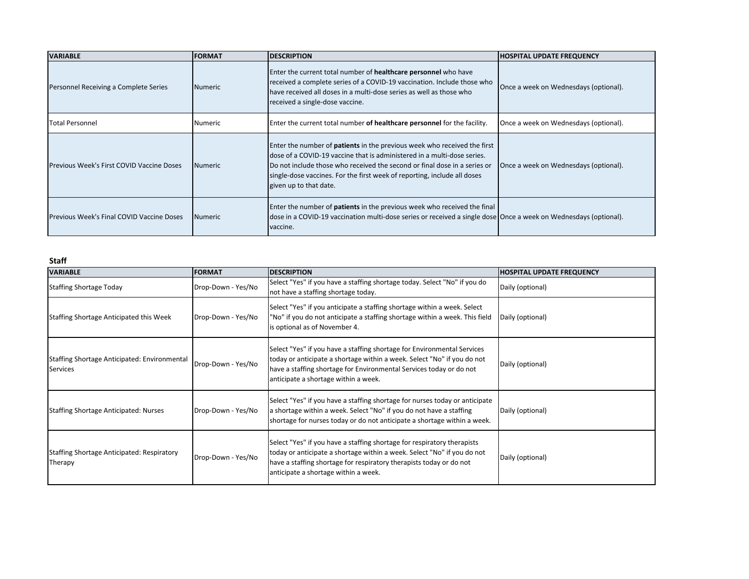| <b>VARIABLE</b>                                  | <b>FORMAT</b>   | <b>DESCRIPTION</b>                                                                                                                                                                                                                                                                                                                            | <b>HOSPITAL UPDATE FREQUENCY</b>      |
|--------------------------------------------------|-----------------|-----------------------------------------------------------------------------------------------------------------------------------------------------------------------------------------------------------------------------------------------------------------------------------------------------------------------------------------------|---------------------------------------|
| Personnel Receiving a Complete Series            | <b>INumeric</b> | Enter the current total number of healthcare personnel who have<br>received a complete series of a COVID-19 vaccination. Include those who<br>have received all doses in a multi-dose series as well as those who<br>received a single-dose vaccine.                                                                                          | Once a week on Wednesdays (optional). |
| Total Personnel                                  | Numeric         | Enter the current total number of healthcare personnel for the facility.                                                                                                                                                                                                                                                                      | Once a week on Wednesdays (optional). |
| <b>Previous Week's First COVID Vaccine Doses</b> | Numeric         | Enter the number of <b>patients</b> in the previous week who received the first<br>dose of a COVID-19 vaccine that is administered in a multi-dose series.<br>Do not include those who received the second or final dose in a series or<br>single-dose vaccines. For the first week of reporting, include all doses<br>given up to that date. | Once a week on Wednesdays (optional). |
| <b>Previous Week's Final COVID Vaccine Doses</b> | Numeric         | Enter the number of <b>patients</b> in the previous week who received the final<br>dose in a COVID-19 vaccination multi-dose series or received a single dose Once a week on Wednesdays (optional).<br>vaccine.                                                                                                                               |                                       |

**Staff**

| <b>VARIABLE</b>                                                 | <b>FORMAT</b>      | <b>DESCRIPTION</b>                                                                                                                                                                                                                                                | <b>HOSPITAL UPDATE FREQUENCY</b> |
|-----------------------------------------------------------------|--------------------|-------------------------------------------------------------------------------------------------------------------------------------------------------------------------------------------------------------------------------------------------------------------|----------------------------------|
| <b>Staffing Shortage Today</b>                                  | Drop-Down - Yes/No | Select "Yes" if you have a staffing shortage today. Select "No" if you do<br>not have a staffing shortage today.                                                                                                                                                  | Daily (optional)                 |
| <b>Staffing Shortage Anticipated this Week</b>                  | Drop-Down - Yes/No | Select "Yes" if you anticipate a staffing shortage within a week. Select<br>"No" if you do not anticipate a staffing shortage within a week. This field<br>is optional as of November 4.                                                                          | Daily (optional)                 |
| Staffing Shortage Anticipated: Environmental<br><b>Services</b> | Drop-Down - Yes/No | Select "Yes" if you have a staffing shortage for Environmental Services<br>today or anticipate a shortage within a week. Select "No" if you do not<br>have a staffing shortage for Environmental Services today or do not<br>anticipate a shortage within a week. | Daily (optional)                 |
| <b>Staffing Shortage Anticipated: Nurses</b>                    | Drop-Down - Yes/No | Select "Yes" if you have a staffing shortage for nurses today or anticipate<br>a shortage within a week. Select "No" if you do not have a staffing<br>shortage for nurses today or do not anticipate a shortage within a week.                                    | Daily (optional)                 |
| <b>Staffing Shortage Anticipated: Respiratory</b><br>Therapy    | Drop-Down - Yes/No | Select "Yes" if you have a staffing shortage for respiratory therapists<br>today or anticipate a shortage within a week. Select "No" if you do not<br>have a staffing shortage for respiratory therapists today or do not<br>anticipate a shortage within a week. | Daily (optional)                 |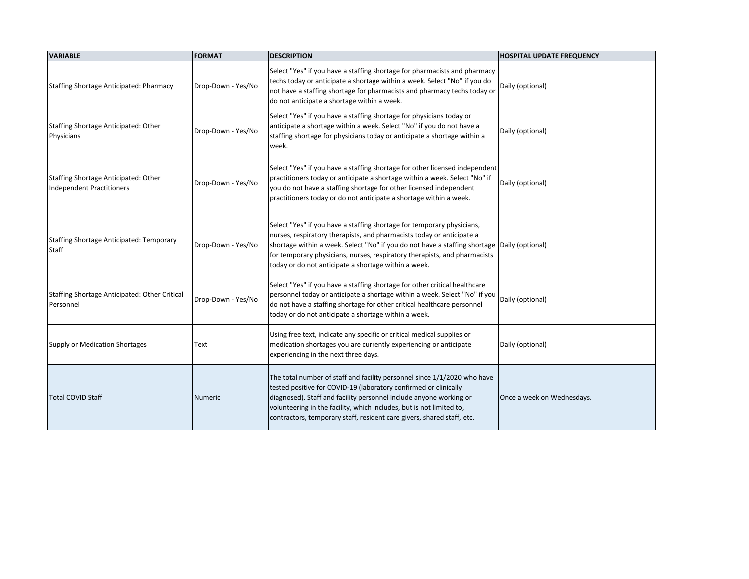| <b>VARIABLE</b>                                                   | <b>FORMAT</b>      | <b>DESCRIPTION</b>                                                                                                                                                                                                                                                                                                                                                                  | <b>HOSPITAL UPDATE FREQUENCY</b> |
|-------------------------------------------------------------------|--------------------|-------------------------------------------------------------------------------------------------------------------------------------------------------------------------------------------------------------------------------------------------------------------------------------------------------------------------------------------------------------------------------------|----------------------------------|
| Staffing Shortage Anticipated: Pharmacy                           | Drop-Down - Yes/No | Select "Yes" if you have a staffing shortage for pharmacists and pharmacy<br>techs today or anticipate a shortage within a week. Select "No" if you do<br>not have a staffing shortage for pharmacists and pharmacy techs today or<br>do not anticipate a shortage within a week.                                                                                                   | Daily (optional)                 |
| Staffing Shortage Anticipated: Other<br>Physicians                | Drop-Down - Yes/No | Select "Yes" if you have a staffing shortage for physicians today or<br>anticipate a shortage within a week. Select "No" if you do not have a<br>staffing shortage for physicians today or anticipate a shortage within a<br>week.                                                                                                                                                  | Daily (optional)                 |
| Staffing Shortage Anticipated: Other<br>Independent Practitioners | Drop-Down - Yes/No | Select "Yes" if you have a staffing shortage for other licensed independent<br>practitioners today or anticipate a shortage within a week. Select "No" if<br>you do not have a staffing shortage for other licensed independent<br>practitioners today or do not anticipate a shortage within a week.                                                                               | Daily (optional)                 |
| Staffing Shortage Anticipated: Temporary<br>Staff                 | Drop-Down - Yes/No | Select "Yes" if you have a staffing shortage for temporary physicians,<br>nurses, respiratory therapists, and pharmacists today or anticipate a<br>shortage within a week. Select "No" if you do not have a staffing shortage Daily (optional)<br>for temporary physicians, nurses, respiratory therapists, and pharmacists<br>today or do not anticipate a shortage within a week. |                                  |
| Staffing Shortage Anticipated: Other Critical<br>Personnel        | Drop-Down - Yes/No | Select "Yes" if you have a staffing shortage for other critical healthcare<br>personnel today or anticipate a shortage within a week. Select "No" if you<br>do not have a staffing shortage for other critical healthcare personnel<br>today or do not anticipate a shortage within a week.                                                                                         | Daily (optional)                 |
| Supply or Medication Shortages                                    | Text               | Using free text, indicate any specific or critical medical supplies or<br>medication shortages you are currently experiencing or anticipate<br>experiencing in the next three days.                                                                                                                                                                                                 | Daily (optional)                 |
| <b>Total COVID Staff</b>                                          | <b>Numeric</b>     | The total number of staff and facility personnel since 1/1/2020 who have<br>tested positive for COVID-19 (laboratory confirmed or clinically<br>diagnosed). Staff and facility personnel include anyone working or<br>volunteering in the facility, which includes, but is not limited to,<br>contractors, temporary staff, resident care givers, shared staff, etc.                | Once a week on Wednesdays.       |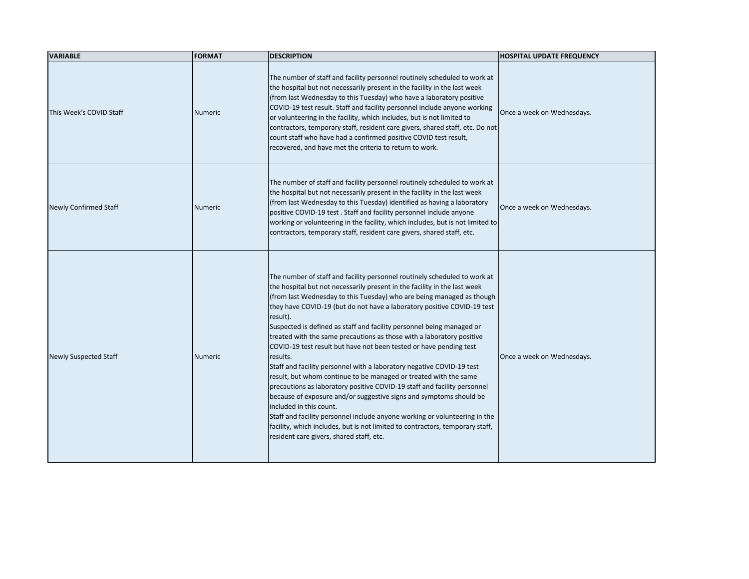| <b>VARIABLE</b>              | <b>FORMAT</b>  | <b>DESCRIPTION</b>                                                                                                                                                                                                                                                                                                                                                                                                                                                                                                                                                                                                                                                                                                                                                                                                                                                                                                                                                                                                                                                                              | <b>HOSPITAL UPDATE FREQUENCY</b> |
|------------------------------|----------------|-------------------------------------------------------------------------------------------------------------------------------------------------------------------------------------------------------------------------------------------------------------------------------------------------------------------------------------------------------------------------------------------------------------------------------------------------------------------------------------------------------------------------------------------------------------------------------------------------------------------------------------------------------------------------------------------------------------------------------------------------------------------------------------------------------------------------------------------------------------------------------------------------------------------------------------------------------------------------------------------------------------------------------------------------------------------------------------------------|----------------------------------|
| This Week's COVID Staff      | <b>Numeric</b> | The number of staff and facility personnel routinely scheduled to work at<br>the hospital but not necessarily present in the facility in the last week<br>(from last Wednesday to this Tuesday) who have a laboratory positive<br>COVID-19 test result. Staff and facility personnel include anyone working<br>or volunteering in the facility, which includes, but is not limited to<br>contractors, temporary staff, resident care givers, shared staff, etc. Do not<br>count staff who have had a confirmed positive COVID test result,<br>recovered, and have met the criteria to return to work.                                                                                                                                                                                                                                                                                                                                                                                                                                                                                           | Once a week on Wednesdays.       |
| <b>Newly Confirmed Staff</b> | <b>Numeric</b> | The number of staff and facility personnel routinely scheduled to work at<br>the hospital but not necessarily present in the facility in the last week<br>(from last Wednesday to this Tuesday) identified as having a laboratory<br>positive COVID-19 test. Staff and facility personnel include anyone<br>working or volunteering in the facility, which includes, but is not limited to<br>contractors, temporary staff, resident care givers, shared staff, etc.                                                                                                                                                                                                                                                                                                                                                                                                                                                                                                                                                                                                                            | Once a week on Wednesdays.       |
| <b>Newly Suspected Staff</b> | Numeric        | The number of staff and facility personnel routinely scheduled to work at<br>the hospital but not necessarily present in the facility in the last week<br>(from last Wednesday to this Tuesday) who are being managed as though<br>they have COVID-19 (but do not have a laboratory positive COVID-19 test<br>result).<br>Suspected is defined as staff and facility personnel being managed or<br>treated with the same precautions as those with a laboratory positive<br>COVID-19 test result but have not been tested or have pending test<br>results.<br>Staff and facility personnel with a laboratory negative COVID-19 test<br>result, but whom continue to be managed or treated with the same<br>precautions as laboratory positive COVID-19 staff and facility personnel<br>because of exposure and/or suggestive signs and symptoms should be<br>included in this count.<br>Staff and facility personnel include anyone working or volunteering in the<br>facility, which includes, but is not limited to contractors, temporary staff,<br>resident care givers, shared staff, etc. | Once a week on Wednesdays.       |